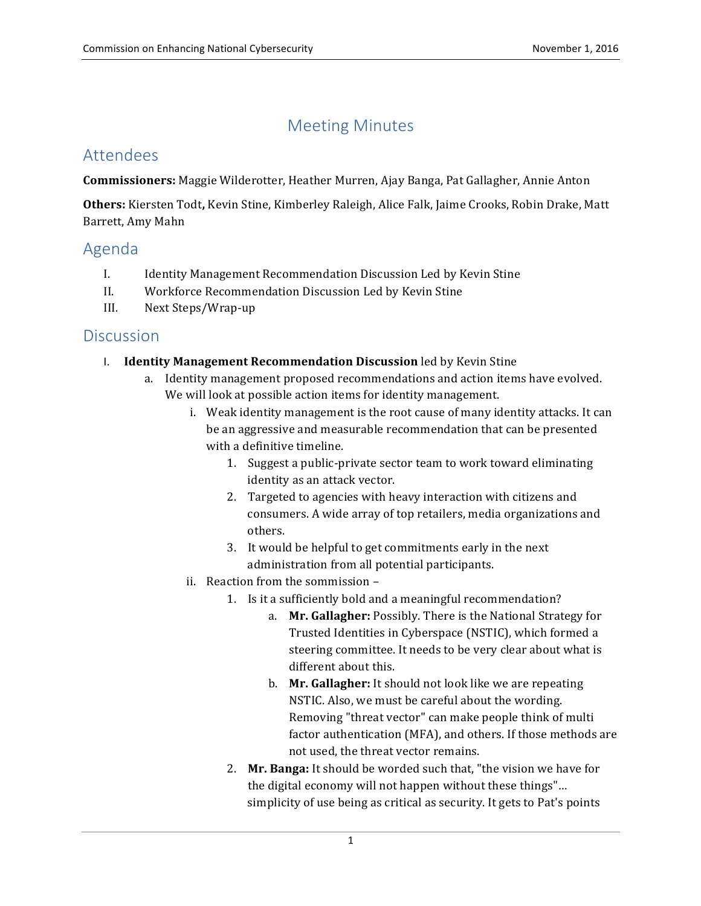# Meeting Minutes

# Attendees

 **Commissioners:** Maggie Wilderotter, Heather Murren, Ajay Banga, Pat Gallagher, Annie Anton

**Others:** Kiersten Todt, Kevin Stine, Kimberley Raleigh, Alice Falk, Jaime Crooks, Robin Drake, Matt Barrett, Amy Mahn

# Agenda

- I. Identity Management Recommendation Discussion Led by Kevin Stine
- II. Workforce Recommendation Discussion Led by Kevin Stine
- III. Next Steps/Wrap-up

### **Discussion**

- I. **Identity Management Recommendation Discussion** led by Kevin Stine
	- a. Identity management proposed recommendations and action items have evolved. We will look at possible action items for identity management.
		- i. Weak identity management is the root cause of many identity attacks. It can be an aggressive and measurable recommendation that can be presented with a definitive timeline.
			- 1. Suggest a public-private sector team to work toward eliminating identity as an attack vector.
			- 2. Targeted to agencies with heavy interaction with citizens and consumers. A wide array of top retailers, media organizations and others.
			- 3. It would be helpful to get commitments early in the next administration from all potential participants.
		- ii. Reaction from the sommission
			- 1. Is it a sufficiently bold and a meaningful recommendation?
				- a. Mr. Gallagher: Possibly. There is the National Strategy for steering committee. It needs to be very clear about what is different about this. Trusted Identities in Cyberspace (NSTIC), which formed a
				- b. Mr. Gallagher: It should not look like we are repeating NSTIC. Also, we must be careful about the wording. Removing "threat vector" can make people think of multi factor authentication (MFA), and others. If those methods are not used, the threat vector remains.
			- 2. Mr. Banga: It should be worded such that, "the vision we have for the digital economy will not happen without these things"... simplicity of use being as critical as security. It gets to Pat's points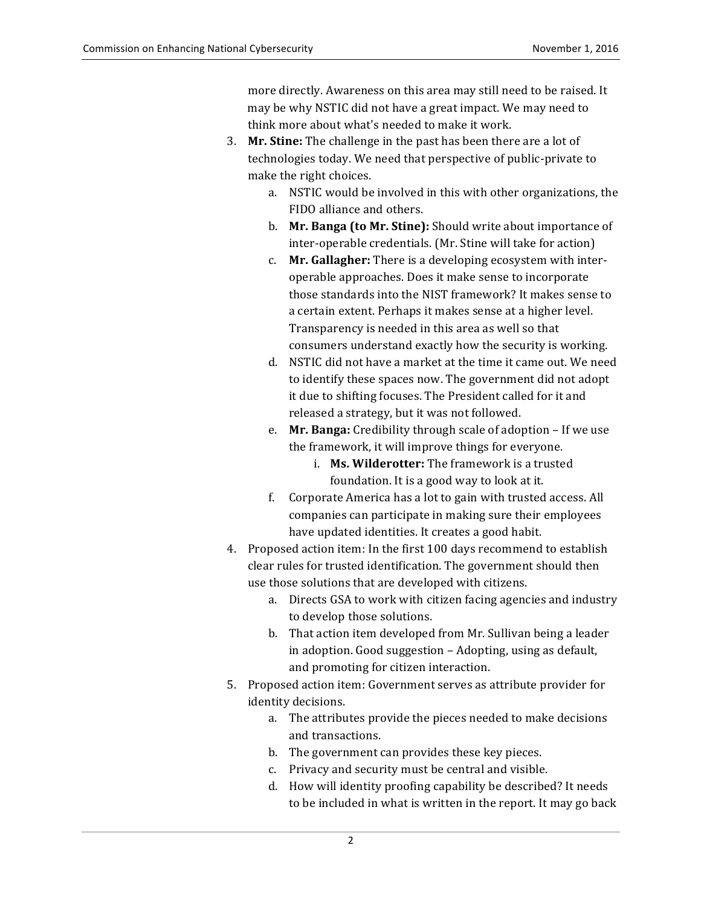more directly. Awareness on this area may still need to be raised. It may be why NSTIC did not have a great impact. We may need to think more about what's needed to make it work.

- 3. Mr. Stine: The challenge in the past has been there are a lot of technologies today. We need that perspective of public-private to make the right choices.
	- a. NSTIC would be involved in this with other organizations, the FIDO alliance and others.
	- **b.** Mr. Banga (to Mr. Stine): Should write about importance of inter-operable credentials. (Mr. Stine will take for action)
	- c. **Mr. Gallagher:** There is a developing ecosystem with interoperable approaches. Does it make sense to incorporate those standards into the NIST framework? It makes sense to a certain extent. Perhaps it makes sense at a higher level. Transparency is needed in this area as well so that consumers understand exactly how the security is working.
	- d. NSTIC did not have a market at the time it came out. We need to identify these spaces now. The government did not adopt it due to shifting focuses. The President called for it and released a strategy, but it was not followed.
	- e. Mr. Banga: Credibility through scale of adoption If we use the framework, it will improve things for everyone.
		- i. **Ms. Wilderotter:** The framework is a trusted foundation. It is a good way to look at it.
	- f. Corporate America has a lot to gain with trusted access. All companies can participate in making sure their employees have updated identities. It creates a good habit.
- 4. Proposed action item: In the first 100 days recommend to establish clear rules for trusted identification. The government should then use those solutions that are developed with citizens.
	- a. Directs GSA to work with citizen facing agencies and industry to develop those solutions.
	- b. That action item developed from Mr. Sullivan being a leader in adoption. Good suggestion – Adopting, using as default, and promoting for citizen interaction.
- 5. Proposed action item: Government serves as attribute provider for identity decisions.
	- a. The attributes provide the pieces needed to make decisions and transactions.
	- b. The government can provides these key pieces.
	- c. Privacy and security must be central and visible.
	- d. How will identity proofing capability be described? It needs to be included in what is written in the report. It may go back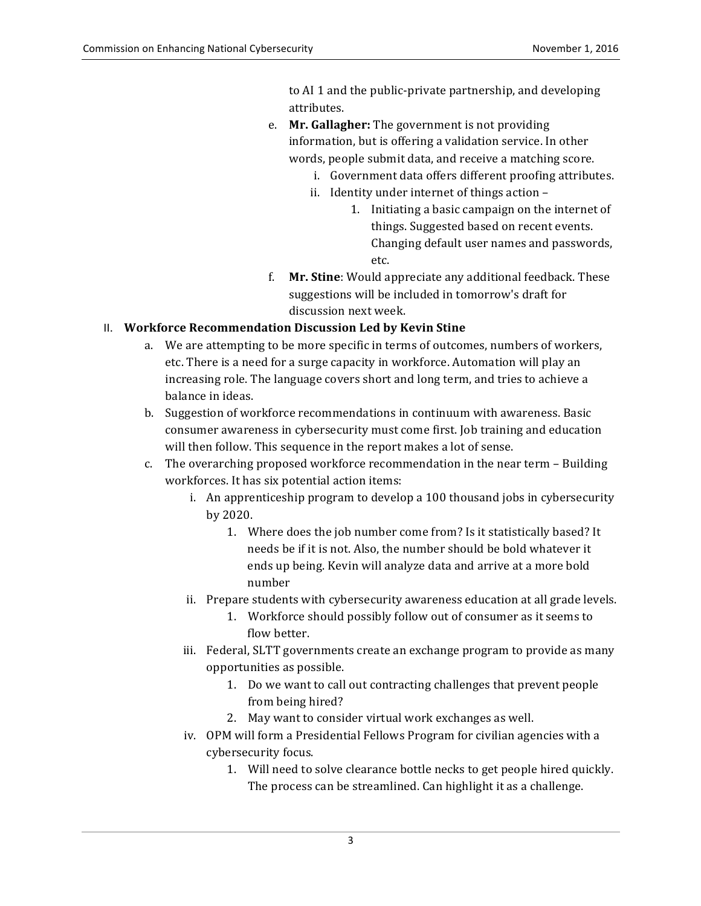to AI 1 and the public-private partnership, and developing attributes.

- e. **Mr. Gallagher:** The government is not providing information, but is offering a validation service. In other words, people submit data, and receive a matching score.
	- i. Government data offers different proofing attributes.
	- ii. Identity under internet of things action -
		- 1. Initiating a basic campaign on the internet of things. Suggested based on recent events. Changing default user names and passwords, etc.
- f. **Mr. Stine**: Would appreciate any additional feedback. These suggestions will be included in tomorrow's draft for discussion next week.

### **II. Workforce Recommendation Discussion Led by Kevin Stine**

- a. We are attempting to be more specific in terms of outcomes, numbers of workers, etc. There is a need for a surge capacity in workforce. Automation will play an increasing role. The language covers short and long term, and tries to achieve a balance in ideas.
- b. Suggestion of workforce recommendations in continuum with awareness. Basic consumer awareness in cybersecurity must come first. Job training and education will then follow. This sequence in the report makes a lot of sense.
- c. The overarching proposed workforce recommendation in the near term Building workforces. It has six potential action items:
	- i. An apprenticeship program to develop a 100 thousand jobs in cybersecurity by 2020.
		- 1. Where does the job number come from? Is it statistically based? It needs be if it is not. Also, the number should be bold whatever it ends up being. Kevin will analyze data and arrive at a more bold number
	- ii. Prepare students with cybersecurity awareness education at all grade levels.
		- 1. Workforce should possibly follow out of consumer as it seems to flow better.
	- iii. Federal, SLTT governments create an exchange program to provide as many opportunities as possible.
		- 1. Do we want to call out contracting challenges that prevent people from being hired?
		- 2. May want to consider virtual work exchanges as well.
	- iv. OPM will form a Presidential Fellows Program for civilian agencies with a cybersecurity focus.
		- 1. Will need to solve clearance bottle necks to get people hired quickly. The process can be streamlined. Can highlight it as a challenge.